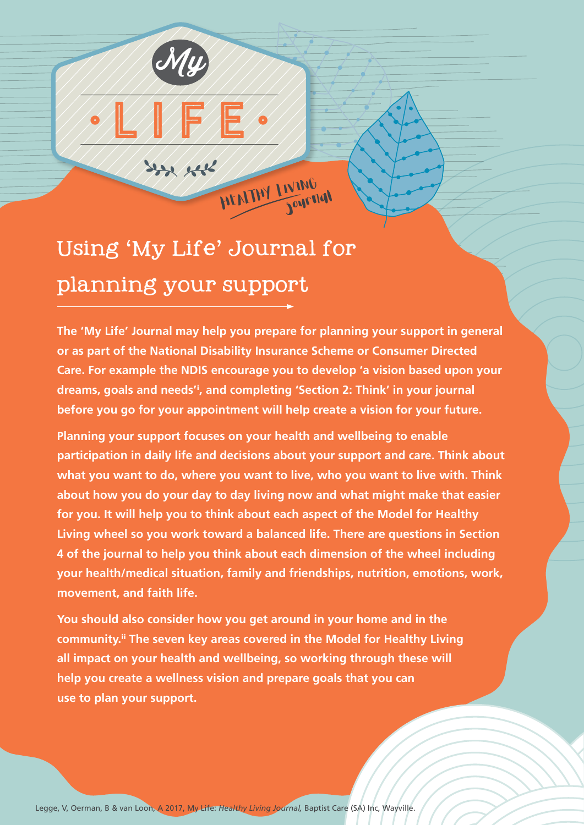## Using 'My Life' Journal for planning your support

 $\sqrt{2}/\sqrt{2}$ 

 $x_2, y_3$ 

My

**The 'My Life' Journal may help you prepare for planning your support in general or as part of the National Disability Insurance Scheme or Consumer Directed Care. For example the NDIS encourage you to develop 'a vision based upon your dreams, goals and needs'**<sup>i</sup> **, and completing 'Section 2: Think' in your journal before you go for your appointment will help create a vision for your future.**

HEALTHY LIVING

**Planning your support focuses on your health and wellbeing to enable participation in daily life and decisions about your support and care. Think about what you want to do, where you want to live, who you want to live with. Think about how you do your day to day living now and what might make that easier for you. It will help you to think about each aspect of the Model for Healthy Living wheel so you work toward a balanced life. There are questions in Section 4 of the journal to help you think about each dimension of the wheel including your health/medical situation, family and friendships, nutrition, emotions, work, movement, and faith life.** 

**You should also consider how you get around in your home and in the community.**ii **The seven key areas covered in the Model for Healthy Living all impact on your health and wellbeing, so working through these will help you create a wellness vision and prepare goals that you can use to plan your support.**